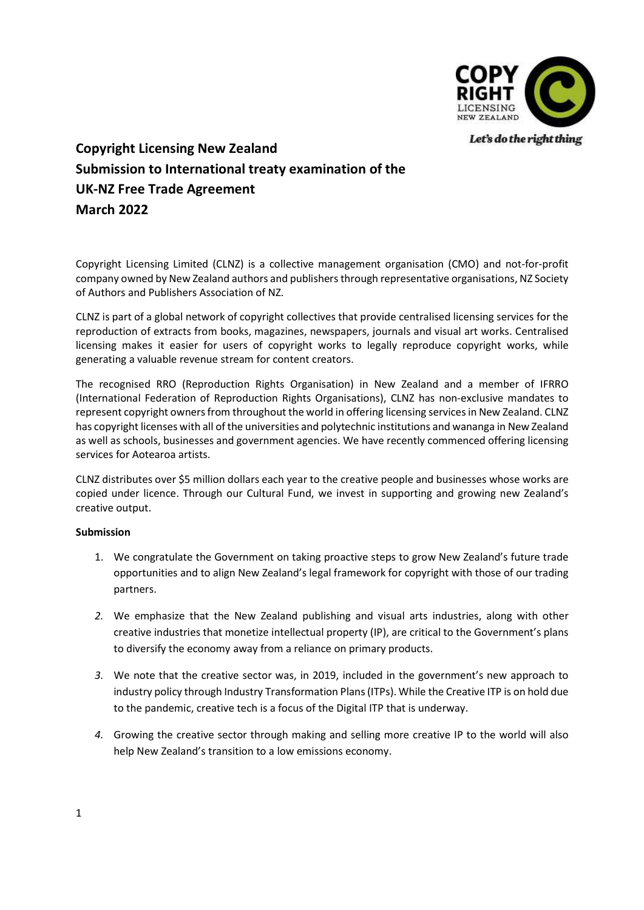

Let's do the right thing

## Copyright Licensing New Zealand Submission to International treaty examination of the UK-NZ Free Trade Agreement March 2022

Copyright Licensing Limited (CLNZ) is a collective management organisation (CMO) and not-for-profit company owned by New Zealand authors and publishers through representative organisations, NZ Society of Authors and Publishers Association of NZ.

CLNZ is part of a global network of copyright collectives that provide centralised licensing services for the reproduction of extracts from books, magazines, newspapers, journals and visual art works. Centralised licensing makes it easier for users of copyright works to legally reproduce copyright works, while generating a valuable revenue stream for content creators.

The recognised RRO (Reproduction Rights Organisation) in New Zealand and a member of IFRRO (International Federation of Reproduction Rights Organisations), CLNZ has non-exclusive mandates to represent copyright owners from throughout the world in offering licensing services in New Zealand. CLNZ has copyright licenses with all of the universities and polytechnic institutions and wananga in New Zealand as well as schools, businesses and government agencies. We have recently commenced offering licensing services for Aotearoa artists.

CLNZ distributes over \$5 million dollars each year to the creative people and businesses whose works are copied under licence. Through our Cultural Fund, we invest in supporting and growing new Zealand's creative output.

## Submission

- 1. We congratulate the Government on taking proactive steps to grow New Zealand's future trade opportunities and to align New Zealand's legal framework for copyright with those of our trading partners.
- 2. We emphasize that the New Zealand publishing and visual arts industries, along with other creative industries that monetize intellectual property (IP), are critical to the Government's plans to diversify the economy away from a reliance on primary products.
- 3. We note that the creative sector was, in 2019, included in the government's new approach to industry policy through Industry Transformation Plans (ITPs). While the Creative ITP is on hold due to the pandemic, creative tech is a focus of the Digital ITP that is underway.
- 4. Growing the creative sector through making and selling more creative IP to the world will also help New Zealand's transition to a low emissions economy.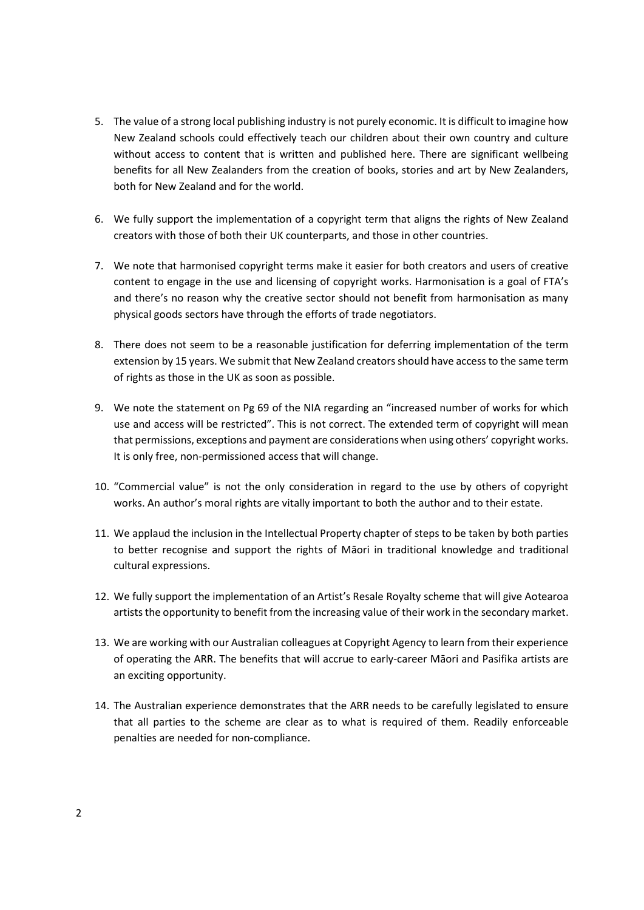- 5. The value of a strong local publishing industry is not purely economic. It is difficult to imagine how New Zealand schools could effectively teach our children about their own country and culture without access to content that is written and published here. There are significant wellbeing benefits for all New Zealanders from the creation of books, stories and art by New Zealanders, both for New Zealand and for the world.
- 6. We fully support the implementation of a copyright term that aligns the rights of New Zealand creators with those of both their UK counterparts, and those in other countries.
- 7. We note that harmonised copyright terms make it easier for both creators and users of creative content to engage in the use and licensing of copyright works. Harmonisation is a goal of FTA's and there's no reason why the creative sector should not benefit from harmonisation as many physical goods sectors have through the efforts of trade negotiators.
- 8. There does not seem to be a reasonable justification for deferring implementation of the term extension by 15 years. We submit that New Zealand creators should have access to the same term of rights as those in the UK as soon as possible.
- 9. We note the statement on Pg 69 of the NIA regarding an "increased number of works for which use and access will be restricted". This is not correct. The extended term of copyright will mean that permissions, exceptions and payment are considerations when using others' copyright works. It is only free, non-permissioned access that will change.
- 10. "Commercial value" is not the only consideration in regard to the use by others of copyright works. An author's moral rights are vitally important to both the author and to their estate.
- 11. We applaud the inclusion in the Intellectual Property chapter of steps to be taken by both parties to better recognise and support the rights of Māori in traditional knowledge and traditional cultural expressions.
- 12. We fully support the implementation of an Artist's Resale Royalty scheme that will give Aotearoa artists the opportunity to benefit from the increasing value of their work in the secondary market.
- 13. We are working with our Australian colleagues at Copyright Agency to learn from their experience of operating the ARR. The benefits that will accrue to early-career Māori and Pasifika artists are an exciting opportunity.
- 14. The Australian experience demonstrates that the ARR needs to be carefully legislated to ensure that all parties to the scheme are clear as to what is required of them. Readily enforceable penalties are needed for non-compliance.